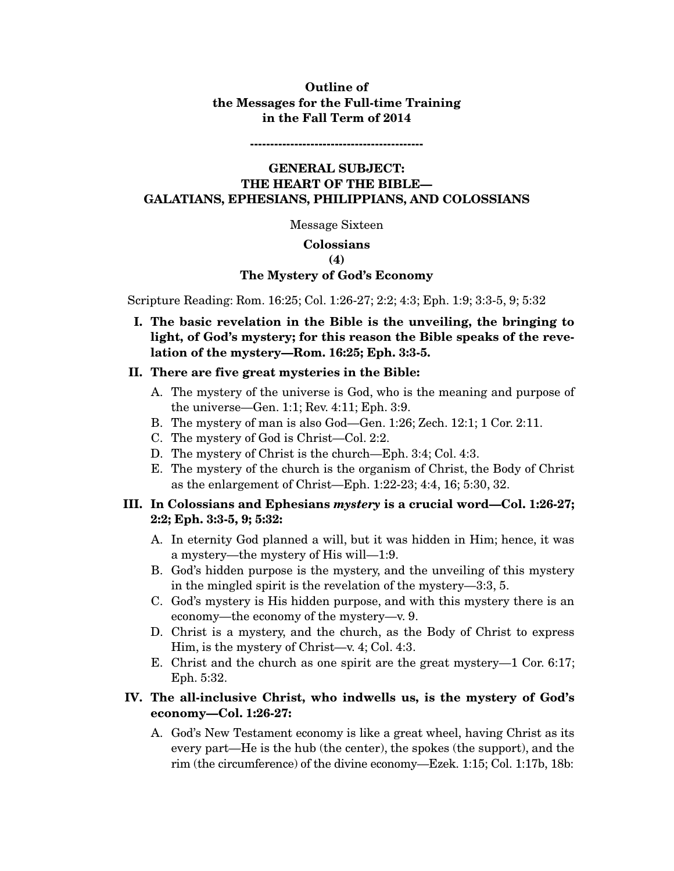# **Outline of the Messages for the Full-time Training in the Fall Term of 2014**

**-------------------------------------------** 

## **GENERAL SUBJECT: THE HEART OF THE BIBLE— GALATIANS, EPHESIANS, PHILIPPIANS, AND COLOSSIANS**

Message Sixteen

#### **Colossians**

#### **(4)**

## **The Mystery of God's Economy**

Scripture Reading: Rom. 16:25; Col. 1:26-27; 2:2; 4:3; Eph. 1:9; 3:3-5, 9; 5:32

**I. The basic revelation in the Bible is the unveiling, the bringing to light, of God's mystery; for this reason the Bible speaks of the revelation of the mystery—Rom. 16:25; Eph. 3:3-5.** 

#### **II. There are five great mysteries in the Bible:**

- A. The mystery of the universe is God, who is the meaning and purpose of the universe—Gen. 1:1; Rev. 4:11; Eph. 3:9.
- B. The mystery of man is also God—Gen. 1:26; Zech. 12:1; 1 Cor. 2:11.
- C. The mystery of God is Christ—Col. 2:2.
- D. The mystery of Christ is the church—Eph. 3:4; Col. 4:3.
- E. The mystery of the church is the organism of Christ, the Body of Christ as the enlargement of Christ—Eph. 1:22-23; 4:4, 16; 5:30, 32.

## **III. In Colossians and Ephesians** *mystery* **is a crucial word—Col. 1:26-27; 2:2; Eph. 3:3-5, 9; 5:32:**

- A. In eternity God planned a will, but it was hidden in Him; hence, it was a mystery—the mystery of His will—1:9.
- B. God's hidden purpose is the mystery, and the unveiling of this mystery in the mingled spirit is the revelation of the mystery—3:3, 5.
- C. God's mystery is His hidden purpose, and with this mystery there is an economy—the economy of the mystery—v. 9.
- D. Christ is a mystery, and the church, as the Body of Christ to express Him, is the mystery of Christ—v. 4; Col. 4:3.
- E. Christ and the church as one spirit are the great mystery—1 Cor. 6:17; Eph. 5:32.

## **IV. The all-inclusive Christ, who indwells us, is the mystery of God's economy—Col. 1:26-27:**

A. God's New Testament economy is like a great wheel, having Christ as its every part—He is the hub (the center), the spokes (the support), and the rim (the circumference) of the divine economy—Ezek. 1:15; Col. 1:17b, 18b: